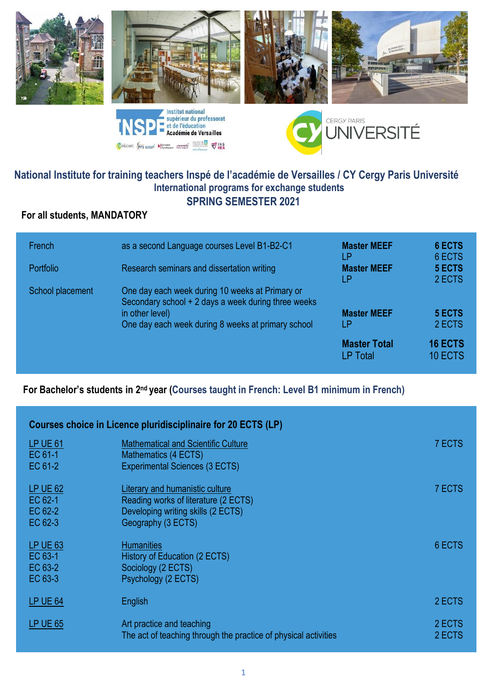







# **National Institute for training teachers Inspé de l'académie de Versailles / CY Cergy Paris Université International programs for exchange students SPRING SEMESTER 2021**

CONVERSITÉ SON ANNUAL MARINE MINISTRATION VIA DE

# **For all students, MANDATORY**

| French<br><b>Portfolio</b> | as a second Language courses Level B1-B2-C1<br>Research seminars and dissertation writing                                                                                       | <b>Master MEEF</b><br>l P<br><b>Master MEEF</b><br>LP | 6 ECTS<br>6 ECTS<br>5 ECTS<br>2 ECTS |
|----------------------------|---------------------------------------------------------------------------------------------------------------------------------------------------------------------------------|-------------------------------------------------------|--------------------------------------|
| School placement           | One day each week during 10 weeks at Primary or<br>Secondary school + 2 days a week during three weeks<br>in other level)<br>One day each week during 8 weeks at primary school | <b>Master MEEF</b><br>LΡ                              | 5 ECTS<br>2 ECTS                     |
|                            |                                                                                                                                                                                 | <b>Master Total</b><br><b>LP Total</b>                | <b>16 ECTS</b><br>10 ECTS            |

## For Bachelor's students in 2<sup>nd</sup> year (Courses taught in French: Level B1 minimum in French)

| Courses choice in Licence pluridisciplinaire for 20 ECTS (LP) |                                                                                                                                     |                  |  |
|---------------------------------------------------------------|-------------------------------------------------------------------------------------------------------------------------------------|------------------|--|
| LP UE 61<br>EC 61-1<br>EC 61-2                                | <b>Mathematical and Scientific Culture</b><br>Mathematics (4 ECTS)<br><b>Experimental Sciences (3 ECTS)</b>                         | 7 ECTS           |  |
| <b>LP UE 62</b><br>EC 62-1<br>EC 62-2<br>EC 62-3              | Literary and humanistic culture<br>Reading works of literature (2 ECTS)<br>Developing writing skills (2 ECTS)<br>Geography (3 ECTS) | 7 ECTS           |  |
| <b>LP UE 63</b><br>EC 63-1<br>EC 63-2<br>EC 63-3              | <b>Humanities</b><br>History of Education (2 ECTS)<br>Sociology (2 ECTS)<br>Psychology (2 ECTS)                                     | 6 ECTS           |  |
| LP UE 64                                                      | English                                                                                                                             | 2 ECTS           |  |
| LP UE 65                                                      | Art practice and teaching<br>The act of teaching through the practice of physical activities                                        | 2 ECTS<br>2 ECTS |  |